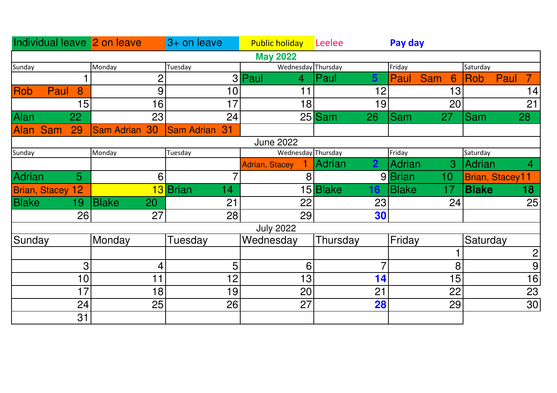|                  |                         |                | Individual leave 2 on leave | $3+$ on leave           | <b>Public holiday Leelee</b> |                | Pay day                    |                               |  |  |  |
|------------------|-------------------------|----------------|-----------------------------|-------------------------|------------------------------|----------------|----------------------------|-------------------------------|--|--|--|
| <b>May 2022</b>  |                         |                |                             |                         |                              |                |                            |                               |  |  |  |
| Sunday           |                         |                | Monday                      | Tuesday                 | Wednesday Thursday           |                | Friday                     | Saturday                      |  |  |  |
|                  |                         |                | $\overline{2}$              |                         | 3 Paul<br>$\overline{4}$     | Paul<br>5.     | <b>Sam</b><br>Paul<br>6    | Paul<br>Rob<br>7 <sup>1</sup> |  |  |  |
| <b>Rob</b>       | Paul                    | 8              | 9                           | 10                      | 11                           | 12             | 13                         | 14                            |  |  |  |
|                  |                         | 15             | 16                          | 17                      | 18                           | 19             | 20                         | 21                            |  |  |  |
| <b>Alan</b>      |                         | 22             | 23                          | 24                      |                              | $25$ Sam<br>26 | <b>Sam</b><br>27           | Sam<br>28                     |  |  |  |
| <b>Alan</b>      | <b>Sam</b>              | 29             | <b>Sam Adrian 30</b>        | <b>Sam Adrian</b><br>31 |                              |                |                            |                               |  |  |  |
| <b>June 2022</b> |                         |                |                             |                         |                              |                |                            |                               |  |  |  |
| Sunday           |                         |                | Monday                      | Tuesday                 | Wednesday Thursday           |                | Friday                     | Saturday                      |  |  |  |
|                  |                         |                |                             |                         | <b>Adrian, Stacey</b>        | Adrian         | $\overline{3}$<br>Adrian   | Adrian<br>4                   |  |  |  |
| <b>Adrian</b>    |                         | 5 <sup>5</sup> | 6                           | 7                       | 8                            |                | 9 Brian<br>10 <sub>1</sub> | Brian, Stacey11               |  |  |  |
|                  | <b>Brian, Stacey 12</b> |                |                             | 13 Brian<br>14          |                              | 15 Blake<br>16 | <b>Blake</b><br>17         | <b>Blake</b><br>18            |  |  |  |
| <b>Blake</b>     |                         | 19             | <b>Blake</b><br>20          | 21                      | 22                           | 23             | 24                         | 25                            |  |  |  |
|                  |                         | 26             | 27                          | 28                      | 29                           | 30             |                            |                               |  |  |  |
|                  |                         |                |                             |                         | <b>July 2022</b>             |                |                            |                               |  |  |  |
| Sunday           |                         |                | Monday                      | Tuesday                 | Wednesday                    | Thursday       | Friday                     | Saturday                      |  |  |  |
|                  |                         |                |                             |                         |                              |                |                            | $\mathbf{2}$                  |  |  |  |
|                  |                         | 3              | 4                           | 5                       | 6                            | 7              | 8                          | 9                             |  |  |  |
|                  |                         | 10             | 11                          | 12                      | 13                           | 14             | 15                         | 16                            |  |  |  |
|                  |                         | 17             | 18                          | 19                      | 20                           | 21             | 22                         | 23                            |  |  |  |
|                  |                         | 24             | 25                          | 26                      | 27                           | 28             | 29                         | 30                            |  |  |  |
|                  |                         | 31             |                             |                         |                              |                |                            |                               |  |  |  |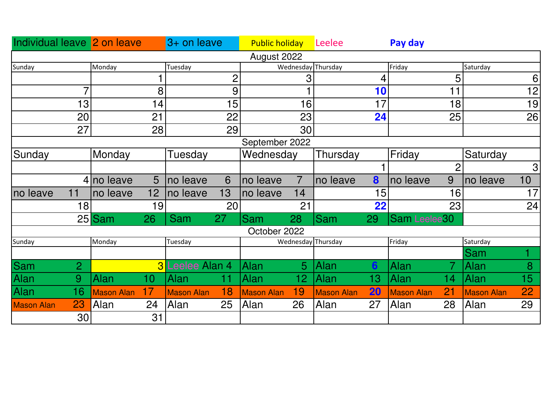| Individual leave 2 on leave |                   |                 | $3+$ on leave          |                | <b>Public holiday</b> |                 | Leelee             |    | Pay day           |                |                   |                |
|-----------------------------|-------------------|-----------------|------------------------|----------------|-----------------------|-----------------|--------------------|----|-------------------|----------------|-------------------|----------------|
|                             |                   |                 |                        |                | August 2022           |                 |                    |    |                   |                |                   |                |
| Sunday                      | Monday            |                 | Tuesday                |                |                       |                 | Wednesday Thursday |    | Friday            |                | Saturday          |                |
|                             |                   |                 |                        | $\overline{2}$ |                       | 3               |                    | 4  |                   | 5              |                   | 6              |
| 7                           |                   | 8               |                        | 9              |                       |                 |                    | 10 |                   | 11             |                   | 12             |
| 13                          |                   | 14              |                        | 15             |                       | 16              |                    | 17 |                   | 18             |                   | 19             |
| 20                          |                   | 21              |                        | 22             |                       | 23              |                    | 24 |                   | 25             |                   | 26             |
| 27                          |                   | 28              |                        | 29             |                       | 30              |                    |    |                   |                |                   |                |
| September 2022              |                   |                 |                        |                |                       |                 |                    |    |                   |                |                   |                |
| Sunday                      | Monday            |                 | Tuesday                |                | Wednesday             |                 | Thursday           |    | Friday            |                | Saturday          |                |
|                             |                   |                 |                        |                |                       |                 |                    |    |                   | $\overline{2}$ |                   | 3 <sup>1</sup> |
|                             | 4 no leave        | 5               | Ino leave              | 6              | no leave              | $\overline{7}$  | no leave           | 8  | no leave          | 9              | no leave          | 10             |
| 11<br>no leave              | no leave          | 12              | no leave               | 13             | no leave              | 14              |                    | 15 |                   | 16             |                   | 17             |
| 18                          |                   | 19              |                        | 20             |                       | 21              |                    | 22 |                   | 23             |                   | 24             |
|                             | $25$ Sam          | 26              | Sam                    | 27             | <b>Sam</b>            | 28              | <b>Sam</b>         | 29 | Sam Leelee30      |                |                   |                |
|                             |                   |                 |                        |                | October 2022          |                 |                    |    |                   |                |                   |                |
| Sunday                      | Monday            |                 | Tuesday                |                |                       |                 | Wednesday Thursday |    | Friday            |                | Saturday          |                |
|                             |                   |                 |                        |                |                       |                 |                    |    |                   |                | Sam               |                |
| Sam<br>2                    |                   |                 | <b>3</b> Leelee Alan 4 |                | Alan                  | 5               | <b>Alan</b>        | 6  | Alan              |                | Alan              | 8              |
| Alan<br>9                   | Alan              | 10 <sub>1</sub> | Alan                   | 11             | <b>Alan</b>           | 12 <sub>2</sub> | Alan               | 13 | Alan              | 14             | Alan              | 15             |
| Alan<br>16                  | <b>Mason Alan</b> | 17              | <b>Mason Alan</b>      | 18             | <b>Mason Alan</b>     | 19              | <b>Mason Alan</b>  | 20 | <b>Mason Alan</b> | 21             | <b>Mason Alan</b> | <b>22</b>      |
| 23<br><b>Mason Alan</b>     | Alan              | 24              | Alan                   | 25             | Alan                  | 26              | Alan               | 27 | Alan              | 28             | Alan              | 29             |
| 30                          |                   | 31              |                        |                |                       |                 |                    |    |                   |                |                   |                |